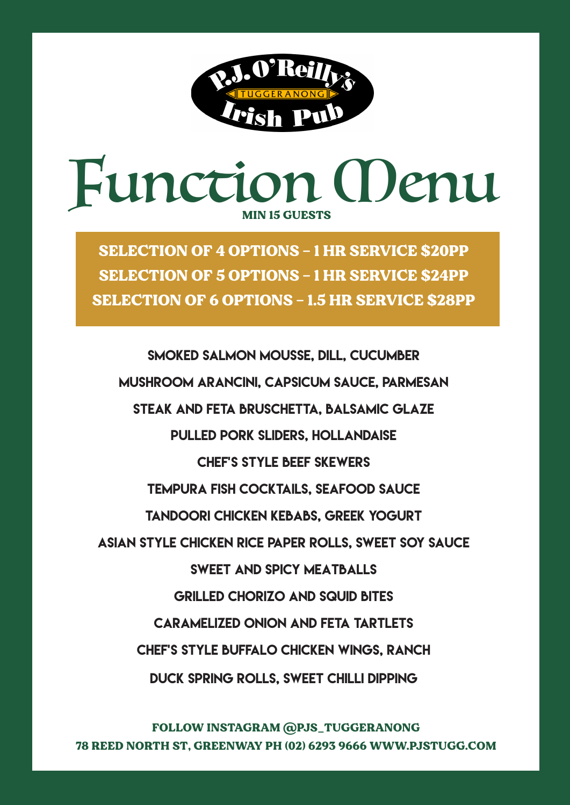

# Function (Denu MIN 15 GUESTS

SELECTION OF 4 OPTIONS – 1 HR SERVICE \$20PP SELECTION OF 5 OPTIONS – 1 HR SERVICE \$24PP SELECTION OF 6 OPTIONS – 1.5 HR SERVICE \$28PP

Smoked Salmon Mousse, dill, cucumber Mushroom Arancini, capsicum sauce, parmesan Steak and Feta Bruschetta, balsamic glaze Pulled Pork sliders, hollandaise Chef's style beef skewers Tempura Fish cocktails, seafood sauce Tandoori Chicken kebabs, Greek yogurt Asian style chicken rice paper rolls, sweet soy sauce SWEET AND SPICY MEATBALLS Grilled Chorizo and squid bites Caramelized onion and feta tartlets Chef's style buffalo chicken wings, ranch Duck spring rolls, sweet chilli dipping